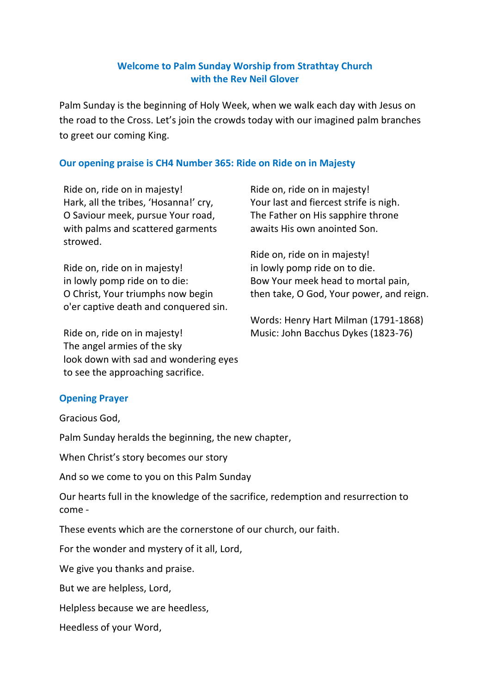# **Welcome to Palm Sunday Worship from Strathtay Church with the Rev Neil Glover**

Palm Sunday is the beginning of Holy Week, when we walk each day with Jesus on the road to the Cross. Let's join the crowds today with our imagined palm branches to greet our coming King.

# **Our opening praise is CH4 Number 365: Ride on Ride on in Majesty**

Ride on, ride on in majesty! Hark, all the tribes, 'Hosanna!' cry, O Saviour meek, pursue Your road, with palms and scattered garments strowed.

Ride on, ride on in majesty! in lowly pomp ride on to die: O Christ, Your triumphs now begin o'er captive death and conquered sin.

Ride on, ride on in majesty! The angel armies of the sky look down with sad and wondering eyes to see the approaching sacrifice.

Ride on, ride on in majesty! Your last and fiercest strife is nigh. The Father on His sapphire throne awaits His own anointed Son.

Ride on, ride on in majesty! in lowly pomp ride on to die. Bow Your meek head to mortal pain, then take, O God, Your power, and reign.

Words: Henry Hart Milman (1791-1868) Music: John Bacchus Dykes (1823-76)

## **Opening Prayer**

Gracious God,

Palm Sunday heralds the beginning, the new chapter,

When Christ's story becomes our story

And so we come to you on this Palm Sunday

Our hearts full in the knowledge of the sacrifice, redemption and resurrection to come -

These events which are the cornerstone of our church, our faith.

For the wonder and mystery of it all, Lord,

We give you thanks and praise.

But we are helpless, Lord,

Helpless because we are heedless,

Heedless of your Word,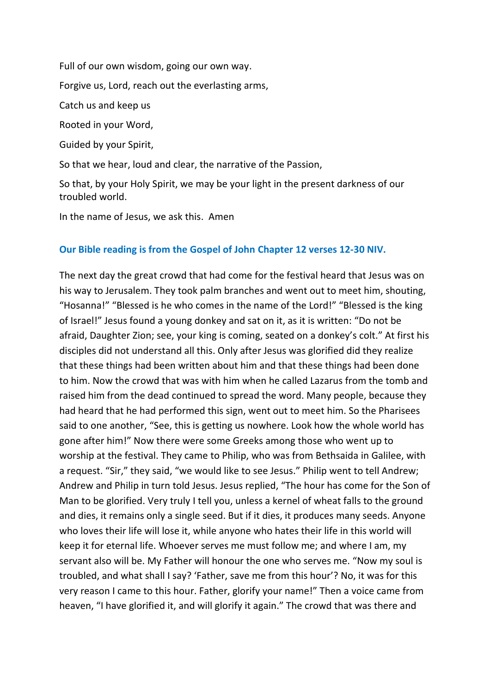Full of our own wisdom, going our own way.

Forgive us, Lord, reach out the everlasting arms,

Catch us and keep us

Rooted in your Word,

Guided by your Spirit,

So that we hear, loud and clear, the narrative of the Passion,

So that, by your Holy Spirit, we may be your light in the present darkness of our troubled world.

In the name of Jesus, we ask this. Amen

## **Our Bible reading is from the Gospel of John Chapter 12 verses 12-30 NIV.**

The next day the great crowd that had come for the festival heard that Jesus was on his way to Jerusalem. They took palm branches and went out to meet him, shouting, "Hosanna!" "Blessed is he who comes in the name of the Lord!" "Blessed is the king of Israel!" Jesus found a young donkey and sat on it, as it is written: "Do not be afraid, Daughter Zion; see, your king is coming, seated on a donkey's colt." At first his disciples did not understand all this. Only after Jesus was glorified did they realize that these things had been written about him and that these things had been done to him. Now the crowd that was with him when he called Lazarus from the tomb and raised him from the dead continued to spread the word. Many people, because they had heard that he had performed this sign, went out to meet him. So the Pharisees said to one another, "See, this is getting us nowhere. Look how the whole world has gone after him!" Now there were some Greeks among those who went up to worship at the festival. They came to Philip, who was from Bethsaida in Galilee, with a request. "Sir," they said, "we would like to see Jesus." Philip went to tell Andrew; Andrew and Philip in turn told Jesus. Jesus replied, "The hour has come for the Son of Man to be glorified. Very truly I tell you, unless a kernel of wheat falls to the ground and dies, it remains only a single seed. But if it dies, it produces many seeds. Anyone who loves their life will lose it, while anyone who hates their life in this world will keep it for eternal life. Whoever serves me must follow me; and where I am, my servant also will be. My Father will honour the one who serves me. "Now my soul is troubled, and what shall I say? 'Father, save me from this hour'? No, it was for this very reason I came to this hour. Father, glorify your name!" Then a voice came from heaven, "I have glorified it, and will glorify it again." The crowd that was there and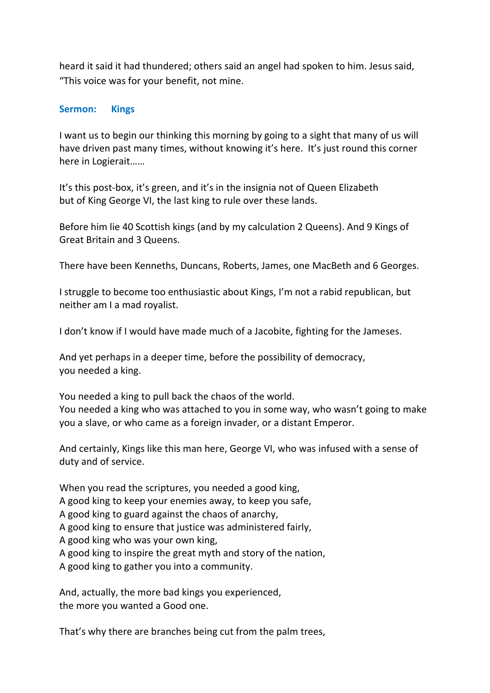heard it said it had thundered; others said an angel had spoken to him. Jesus said, "This voice was for your benefit, not mine.

## **Sermon: Kings**

I want us to begin our thinking this morning by going to a sight that many of us will have driven past many times, without knowing it's here. It's just round this corner here in Logierait……

It's this post-box, it's green, and it's in the insignia not of Queen Elizabeth but of King George VI, the last king to rule over these lands.

Before him lie 40 Scottish kings (and by my calculation 2 Queens). And 9 Kings of Great Britain and 3 Queens.

There have been Kenneths, Duncans, Roberts, James, one MacBeth and 6 Georges.

I struggle to become too enthusiastic about Kings, I'm not a rabid republican, but neither am I a mad royalist.

I don't know if I would have made much of a Jacobite, fighting for the Jameses.

And yet perhaps in a deeper time, before the possibility of democracy, you needed a king.

You needed a king to pull back the chaos of the world.

You needed a king who was attached to you in some way, who wasn't going to make you a slave, or who came as a foreign invader, or a distant Emperor.

And certainly, Kings like this man here, George VI, who was infused with a sense of duty and of service.

When you read the scriptures, you needed a good king,

A good king to keep your enemies away, to keep you safe,

A good king to guard against the chaos of anarchy,

A good king to ensure that justice was administered fairly,

A good king who was your own king,

A good king to inspire the great myth and story of the nation,

A good king to gather you into a community.

And, actually, the more bad kings you experienced, the more you wanted a Good one.

That's why there are branches being cut from the palm trees,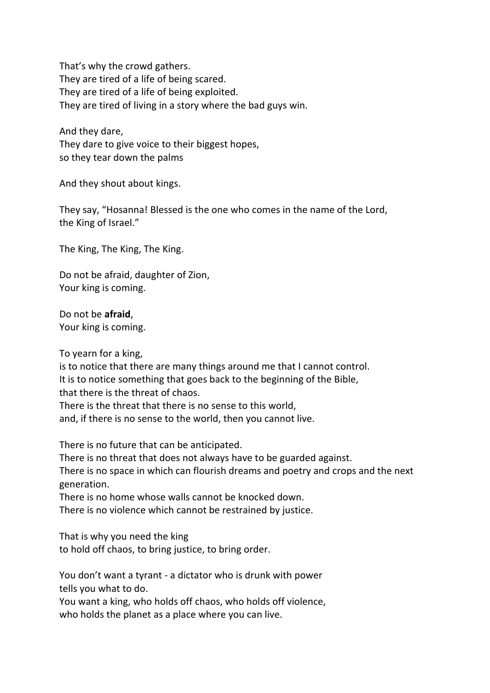That's why the crowd gathers. They are tired of a life of being scared. They are tired of a life of being exploited. They are tired of living in a story where the bad guys win.

And they dare, They dare to give voice to their biggest hopes, so they tear down the palms

And they shout about kings.

They say, "Hosanna! Blessed is the one who comes in the name of the Lord, the King of Israel."

The King, The King, The King.

Do not be afraid, daughter of Zion, Your king is coming.

Do not be **afraid**, Your king is coming.

To yearn for a king,

is to notice that there are many things around me that I cannot control. It is to notice something that goes back to the beginning of the Bible, that there is the threat of chaos. There is the threat that there is no sense to this world,

and, if there is no sense to the world, then you cannot live.

There is no future that can be anticipated.

There is no threat that does not always have to be guarded against.

There is no space in which can flourish dreams and poetry and crops and the next generation.

There is no home whose walls cannot be knocked down.

There is no violence which cannot be restrained by justice.

That is why you need the king to hold off chaos, to bring justice, to bring order.

You don't want a tyrant - a dictator who is drunk with power tells you what to do.

You want a king, who holds off chaos, who holds off violence, who holds the planet as a place where you can live.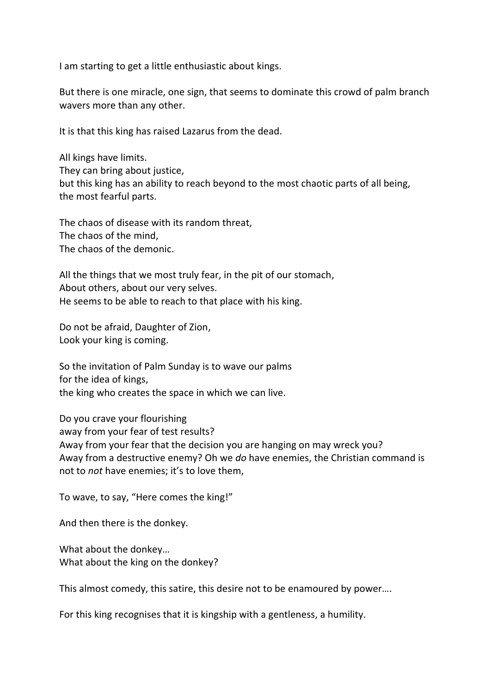I am starting to get a little enthusiastic about kings.

But there is one miracle, one sign, that seems to dominate this crowd of palm branch wavers more than any other.

It is that this king has raised Lazarus from the dead.

All kings have limits. They can bring about justice, but this king has an ability to reach beyond to the most chaotic parts of all being, the most fearful parts.

The chaos of disease with its random threat, The chaos of the mind, The chaos of the demonic.

All the things that we most truly fear, in the pit of our stomach, About others, about our very selves. He seems to be able to reach to that place with his king.

Do not be afraid, Daughter of Zion, Look your king is coming.

So the invitation of Palm Sunday is to wave our palms for the idea of kings, the king who creates the space in which we can live.

Do you crave your flourishing away from your fear of test results? Away from your fear that the decision you are hanging on may wreck you? Away from a destructive enemy? Oh we *do* have enemies, the Christian command is not to *not* have enemies; it's to love them,

To wave, to say, "Here comes the king!"

And then there is the donkey.

What about the donkey… What about the king on the donkey?

This almost comedy, this satire, this desire not to be enamoured by power….

For this king recognises that it is kingship with a gentleness, a humility.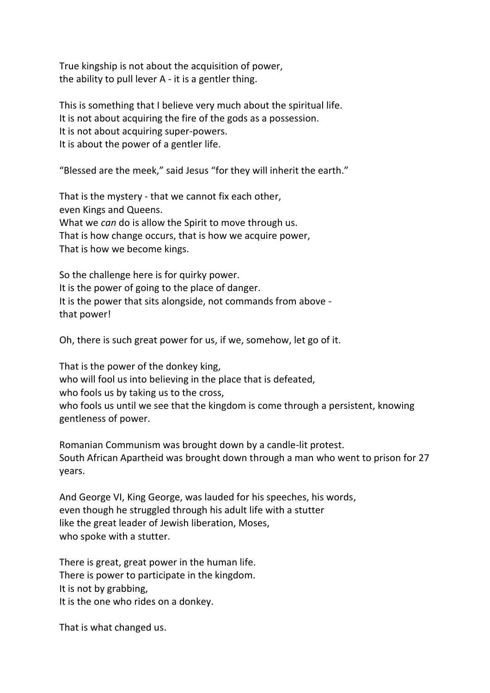True kingship is not about the acquisition of power, the ability to pull lever A - it is a gentler thing.

This is something that I believe very much about the spiritual life. It is not about acquiring the fire of the gods as a possession. It is not about acquiring super-powers. It is about the power of a gentler life.

"Blessed are the meek," said Jesus "for they will inherit the earth."

That is the mystery - that we cannot fix each other, even Kings and Queens. What we *can* do is allow the Spirit to move through us. That is how change occurs, that is how we acquire power, That is how we become kings.

So the challenge here is for quirky power. It is the power of going to the place of danger. It is the power that sits alongside, not commands from above that power!

Oh, there is such great power for us, if we, somehow, let go of it.

That is the power of the donkey king, who will fool us into believing in the place that is defeated, who fools us by taking us to the cross, who fools us until we see that the kingdom is come through a persistent, knowing gentleness of power.

Romanian Communism was brought down by a candle-lit protest. South African Apartheid was brought down through a man who went to prison for 27 years.

And George VI, King George, was lauded for his speeches, his words, even though he struggled through his adult life with a stutter like the great leader of Jewish liberation, Moses, who spoke with a stutter.

There is great, great power in the human life. There is power to participate in the kingdom. It is not by grabbing, It is the one who rides on a donkey.

That is what changed us.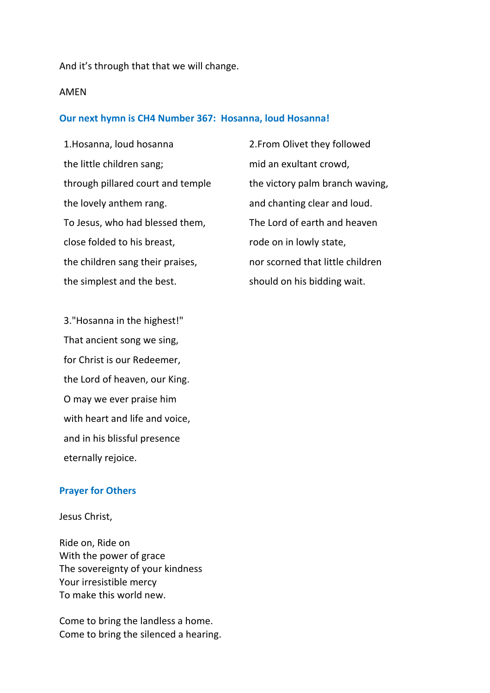And it's through that that we will change.

#### AMEN

#### **Our next hymn is CH4 Number 367: Hosanna, loud Hosanna!**

1.Hosanna, loud hosanna the little children sang; through pillared court and temple the lovely anthem rang. To Jesus, who had blessed them, close folded to his breast, the children sang their praises, the simplest and the best.

3."Hosanna in the highest!" That ancient song we sing, for Christ is our Redeemer, the Lord of heaven, our King. O may we ever praise him with heart and life and voice, and in his blissful presence eternally rejoice.

### **Prayer for Others**

Jesus Christ,

Ride on, Ride on With the power of grace The sovereignty of your kindness Your irresistible mercy To make this world new.

Come to bring the landless a home. Come to bring the silenced a hearing.

2.From Olivet they followed mid an exultant crowd, the victory palm branch waving, and chanting clear and loud. The Lord of earth and heaven rode on in lowly state, nor scorned that little children should on his bidding wait.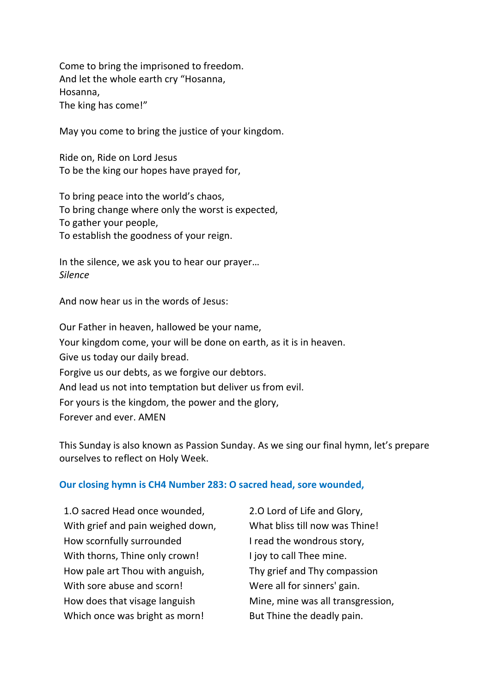Come to bring the imprisoned to freedom. And let the whole earth cry "Hosanna, Hosanna, The king has come!"

May you come to bring the justice of your kingdom.

Ride on, Ride on Lord Jesus To be the king our hopes have prayed for,

To bring peace into the world's chaos, To bring change where only the worst is expected, To gather your people, To establish the goodness of your reign.

In the silence, we ask you to hear our prayer… *Silence*

And now hear us in the words of Jesus:

Our Father in heaven, hallowed be your name, Your kingdom come, your will be done on earth, as it is in heaven. Give us today our daily bread. Forgive us our debts, as we forgive our debtors. And lead us not into temptation but deliver us from evil. For yours is the kingdom, the power and the glory, Forever and ever. AMEN

This Sunday is also known as Passion Sunday. As we sing our final hymn, let's prepare ourselves to reflect on Holy Week.

## **Our closing hymn is CH4 Number 283: O sacred head, sore wounded,**

1.O sacred Head once wounded, With grief and pain weighed down, How scornfully surrounded With thorns, Thine only crown! How pale art Thou with anguish, With sore abuse and scorn! How does that visage languish Which once was bright as morn!

2.O Lord of Life and Glory, What bliss till now was Thine! I read the wondrous story, I joy to call Thee mine. Thy grief and Thy compassion Were all for sinners' gain. Mine, mine was all transgression, But Thine the deadly pain.